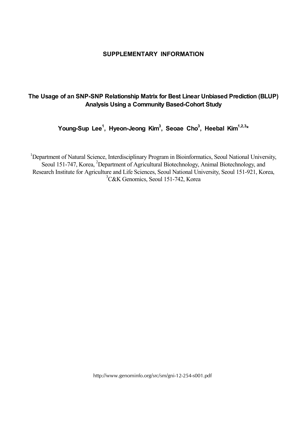## **SUPPLEMENTARY INFORMATION**

## **The Usage of an SNP-SNP Relationship Matrix for Best Linear Unbiased Prediction (BLUP) Analysis Using a Community Based-Cohort Study**

**Young-Sup Lee1 , Hyeon-Jeong Kim3 , Seoae Cho3 , Heebal Kim1,2,3\***

<sup>1</sup>Department of Natural Science, Interdisciplinary Program in Bioinformatics, Seoul National University, Seoul 151-747, Korea, <sup>2</sup>Department of Agricultural Biotechnology, Animal Biotechnology, and Research Institute for Agriculture and Life Sciences, Seoul National University, Seoul 151-921, Korea, 3 C&K Genomics, Seoul 151-742, Korea

http://www.genominfo.org/src/sm/gni-12-254-s001.pdf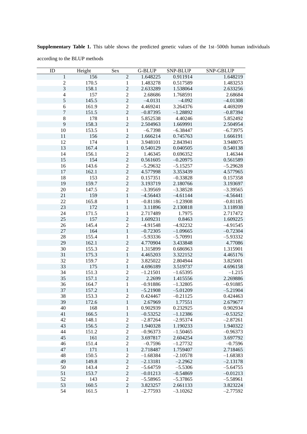| ID               | Height | Sex              | G-BLUP     | SNP-BLUP   | SNP-GBLUP  |
|------------------|--------|------------------|------------|------------|------------|
| 1                | 156    | $\sqrt{2}$       | 1.648225   | 0.911914   | 1.648219   |
| $\boldsymbol{2}$ | 170.5  | $\mathbf{1}$     | 1.483278   | 0.517589   | 1.483253   |
| $\mathfrak{Z}$   | 158.1  | $\overline{c}$   | 2.633289   | 1.538064   | 2.633256   |
| $\overline{4}$   | 157    | $\overline{c}$   | 2.68686    | 1.768591   | 2.68684    |
| 5                | 145.5  | $\overline{c}$   | $-4.0131$  | $-4.092$   | $-4.01308$ |
| $\epsilon$       | 161.9  | $\overline{2}$   | 4.469241   | 3.264376   | 4.469209   |
| $\overline{7}$   | 151.5  | $\overline{2}$   | $-0.87395$ | $-1.28892$ | $-0.87394$ |
| $8\,$            | 178    | $\mathbf{1}$     | 5.852538   | 4.40246    | 5.852492   |
| $\mathbf{9}$     | 158.3  | $\overline{2}$   | 2.504963   | 1.669991   | 2.504954   |
| 10               | 153.5  | $\mathbf{1}$     | $-6.7398$  | $-6.38447$ | $-6.73975$ |
| 11               | 156    | $\overline{2}$   | 1.666214   | 0.745763   | 1.666191   |
| 12               | 174    | 1                | 3.948101   | 2.843941   | 3.948075   |
| 13               | 167.4  | $\mathbf{1}$     | 0.540129   | 0.040505   | 0.540138   |
| 14               | 156.1  | $\sqrt{2}$       | 1.46345    | 0.696352   | 1.46344    |
| 15               | 154    | $\overline{c}$   | 0.561605   | $-0.20975$ | 0.561589   |
| 16               | 143.6  | $\overline{c}$   | $-5.29632$ |            | $-5.29628$ |
|                  |        | $\overline{c}$   |            | $-5.15257$ |            |
| $17\,$<br>18     | 162.1  | $\overline{2}$   | 4.577998   | 3.353439   | 4.577965   |
|                  | 153    | $\overline{c}$   | 0.157351   | $-0.33828$ | 0.157358   |
| 19               | 159.7  |                  | 3.193719   | 2.180766   | 3.193697   |
| 20               | 147.5  | $\overline{2}$   | $-3.39569$ | $-3.38528$ | $-3.39565$ |
| 21               | 159    | $\mathbf{1}$     | $-4.56443$ | $-4.61144$ | $-4.56441$ |
| 22               | 165.8  | $\mathbf{1}$     | $-0.81186$ | $-1.23908$ | $-0.81185$ |
| 23               | 172    | $\,1\,$          | 3.11896    | 2.130818   | 3.118938   |
| 24               | 171.5  | $\mathbf{1}$     | 2.717489   | 1.7975     | 2.717472   |
| 25               | 157    | $\overline{c}$   | 1.609231   | 0.8463     | 1.609225   |
| 26               | 145.4  | $\overline{c}$   | $-4.91548$ | $-4.92232$ | $-4.91545$ |
| 27               | 164    | $\mathbf 1$      | $-0.72305$ | $-1.09665$ | $-0.72304$ |
| 28               | 155.4  | $\mathbf{1}$     | $-5.93336$ | $-5.70991$ | $-5.93332$ |
| 29               | 162.1  | $\overline{c}$   | 4.770904   | 3.433848   | 4.77086    |
| 30               | 155.3  | $\overline{c}$   | 1.315899   | 0.686963   | 1.315901   |
| 31               | 175.3  | $\mathbf{1}$     | 4.465203   | 3.322152   | 4.465176   |
| 32               | 159.7  | $\overline{2}$   | 3.825022   | 2.804944   | 3.825001   |
| 33               | 175    | $\mathbf{1}$     | 4.696189   | 3.519737   | 4.696158   |
| 34               | 151.3  | $\sqrt{2}$       | $-1.21501$ | $-1.65395$ | $-1.215$   |
| 35               | 157.1  | $\overline{2}$   | 2.2699     | 1.415556   | 2.269886   |
| 36               | 164.7  | $\mathbf{1}$     | $-0.91886$ | $-1.32805$ | $-0.91885$ |
| 37               | 157.2  | $\mathbf{1}$     | $-5.21908$ | $-5.01209$ | $-5.21904$ |
| 38               | 153.3  | $\overline{2}$   | 0.424467   | $-0.21125$ | 0.424463   |
| 39               | 172.6  | $\,1$            | 2.67969    | 1.77551    | 2.679677   |
| 40               | 168    | 1                | 0.902939   | 0.232925   | 0.902934   |
| 41               | 166.5  | $\,1$            | $-0.53252$ | $-1.12386$ | $-0.53252$ |
| 42               | 148.1  | $\sqrt{2}$       | $-2.87264$ | $-2.95374$ | $-2.87261$ |
| 43               | 156.5  | $\overline{2}$   | 1.940328   | 1.190233   | 1.940322   |
| 44               | 151.2  | $\sqrt{2}$       | $-0.96373$ | $-1.50465$ | $-0.96373$ |
| 45               | 161    | $\overline{c}$   | 3.697817   | 2.604254   | 3.697792   |
| 46               | 151.4  | $\overline{c}$   | $-0.7596$  | $-1.27732$ | $-0.7596$  |
| 47               | 171    | $\,1\,$          | 2.718487   | 1.759407   | 2.718465   |
| 48               | 150.5  | $\boldsymbol{2}$ | $-1.68384$ | $-2.10578$ | $-1.68383$ |
| 49               | 149.8  | $\boldsymbol{2}$ | $-2.13181$ | $-2.2962$  | $-2.13178$ |
| 50               | 143.4  | $\sqrt{2}$       | $-5.64759$ | $-5.5306$  | $-5.64755$ |
| 51               | 153.7  | $\overline{c}$   | $-0.01213$ | $-0.54869$ | $-0.01213$ |
| 52               | 143    | $\overline{c}$   | $-5.58965$ | $-5.37865$ | $-5.58961$ |
| 53               | 160.5  | $\sqrt{2}$       | 3.823257   | 2.661133   | 3.823224   |
| 54               | 161.5  | 1                | $-2.77593$ | $-3.10262$ | $-2.77592$ |

**Supplementary Table 1.** This table shows the predicted genetic values of the 1st–500th human individuals according to the BLUP methods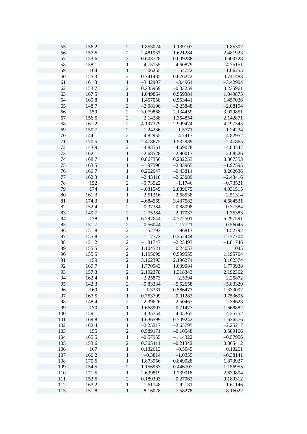| 55     | 156.2 | $\mathbf{2}$   | 1.853024   | 1.139107   | 1.85302    |
|--------|-------|----------------|------------|------------|------------|
| 56     | 157.6 | $\overline{c}$ | 2.481937   | 1.621284   | 2.481923   |
| 57     | 153.6 | $\overline{c}$ | 0.603728   | 0.009288   | 0.603728   |
| 58     | 158.1 | 1              | $-4.75155$ | $-4.60879$ | $-4.75151$ |
| 59     | 164   | $\,1$          | $-1.06255$ | $-1.54722$ | $-1.06255$ |
| 60     | 155.3 | $\overline{c}$ | 0.741485   | 0.076272   | 0.741483   |
| 61     | 161.3 | $\mathbf{1}$   | $-3.42907$ | $-3.4961$  | $-3.42904$ |
| 62     |       |                |            |            |            |
|        | 153.7 | $\overline{c}$ | 0.235959   | $-0.33259$ | 0.235961   |
| 63     | 167.5 | $\mathbf{1}$   | 1.049864   | 0.559384   | 1.049875   |
| 64     | 169.8 | $\mathbf{1}$   | 1.457058   | 0.553441   | 1.457036   |
| 65     | 148.7 | $\overline{2}$ | $-2.08196$ | $-2.25848$ | $-2.08194$ |
| 66     | 159   | $\overline{c}$ | 3.079868   | 2.134459   | 3.079851   |
| 67     | 156.5 | $\overline{c}$ | 2.14288    | 1.354854   | 2.142871   |
| 68     | 161.2 | $\overline{c}$ | 4.197379   | 2.999474   | 4.197345   |
| 69     | 150.7 | $\overline{c}$ | $-1.24236$ | $-1.5771$  | $-1.24234$ |
| $70\,$ | 144.1 | $\overline{c}$ | $-4.82955$ | $-4.7417$  | $-4.82952$ |
| $71\,$ | 170.5 | $\,1$          | 2.478672   | 1.532989   | 2.47865    |
|        |       |                |            |            |            |
| 72     | 143.9 | $\overline{c}$ | $-4.83551$ | $-4.69078$ | $-4.83547$ |
| 73     | 162.1 | $\mathbf{1}$   | $-2.68528$ | $-2.90017$ | $-2.68526$ |
| 74     | 168.7 | $\mathbf{1}$   | 0.867356   | 0.202253   | 0.867353   |
| 75     | 163.5 | $\mathbf{1}$   | $-1.97596$ | $-2.33965$ | $-1.97595$ |
| 76     | 166.7 | $\mathbf{1}$   | 0.262647   | $-0.43814$ | 0.262636   |
| 77     | 162.3 | $\mathbf{1}$   | $-2.43418$ | $-2.63089$ | $-2.43416$ |
| 78     | 152   | $\overline{c}$ | $-0.73522$ | $-1.1746$  | $-0.73521$ |
| 79     | 174   | $\mathbf{1}$   | 4.031545   | 2.889675   | 4.031515   |
| 80     | 161.3 | 1              | $-2.51316$ | $-2.68538$ | $-2.51314$ |
|        |       |                |            |            |            |
| 81     | 174.3 | $\mathbf{1}$   | 4.684569   | 3.437582   | 4.684531   |
| 82     | 152.4 | $\overline{c}$ | $-0.37384$ | $-0.88098$ | $-0.37384$ |
| 83     | 149.7 | $\overline{c}$ | $-1.75384$ | $-2.07037$ | $-1.75383$ |
| 84     | 178   | $\,1$          | 6.297644   | 4.772501   | 6.297591   |
| 85     | 151.7 | $\overline{c}$ | $-0.56044$ | $-1.17721$ | $-0.56045$ |
| 86     | 151.8 | $\overline{c}$ | $-1.52793$ | $-1.96813$ | $-1.52792$ |
| 87     | 155.8 | $\overline{c}$ | 1.17772    | 0.352444   | 1.177704   |
| 88     | 151.2 | $\overline{2}$ | $-1.81747$ | $-2.23493$ | $-1.81746$ |
| 89     | 155.5 | $\overline{c}$ | 1.104521   | 0.24053    | 1.1045     |
|        |       |                |            |            |            |
| 90     | 155.5 | $\overline{c}$ | 1.195699   | 0.599555   | 1.195704   |
| 91     | 159   | $\overline{c}$ | 3.162393   | 2.196274   | 3.162374   |
| 92     | 169.7 | $\mathbf{1}$   | 1.770943   | 1.039084   | 1.770938   |
| 93     | 157.3 | $\overline{c}$ | 2.192378   | 1.318343   | 2.192362   |
| 94     | 162.4 | 1              | $-2.25873$ | $-2.5394$  | $-2.25872$ |
| 95     | 142.3 | $\overline{c}$ | $-5.83334$ | $-5.52658$ | $-5.83329$ |
| 96     | 169   | $\,1$          | 1.3331     | 0.586473   | 1.333092   |
| 97     | 167.5 | $\,1$          | 0.753709   | $-0.01283$ | 0.753695   |
| 98     | 148.4 | $\overline{c}$ | $-2.39626$ | $-2.50467$ | $-2.39623$ |
| 99     | 170   | $\mathbf{1}$   | 1.668907   | 0.71477    | 1.668882   |
| 100    | 159.1 |                |            |            |            |
|        |       | $\mathbf{1}$   | $-4.35754$ | $-4.45365$ | $-4.35752$ |
| 101    | 169.8 | $\mathbf{1}$   | 1.636599   | 0.709242   | 1.636576   |
| 102    | 162.4 | $\mathbf{1}$   | $-2.25217$ | $-2.65795$ | $-2.25217$ |
| 103    | 155   | $\overline{c}$ | 0.589171   | $-0.10548$ | 0.589166   |
| 104    | 165.5 | $\mathbf{1}$   | $-0.57955$ | $-1.14322$ | $-0.57956$ |
| 105    | 153.6 | $\overline{c}$ | 0.365411   | $-0.21342$ | 0.365412   |
| 106    | 167   | $\mathbf{1}$   | 0.132613   | $-0.5045$  | 0.13261    |
| 107    | 166.2 | $\,1$          | $-0.3814$  | $-1.0355$  | $-0.38141$ |
| 108    | 170.6 | $\,1$          | 1.873956   | 0.849028   | 1.873927   |
| 109    | 154.5 | $\overline{c}$ | 1.156963   | 0.446707   | 1.156955   |
|        |       |                |            |            |            |
| 110    | 171.5 | $\,1$          | 2.639819   | 1.739018   | 2.639804   |
| 111    | 152.5 | $\overline{c}$ | 0.189303   | $-0.27963$ | 0.189312   |
| 112    | 163.2 | $\mathbf{1}$   | $-1.61148$ | $-1.92131$ | $-1.61146$ |
| 113    | 151.8 | $\,1$          | $-8.16028$ | $-7.58278$ | $-8.16022$ |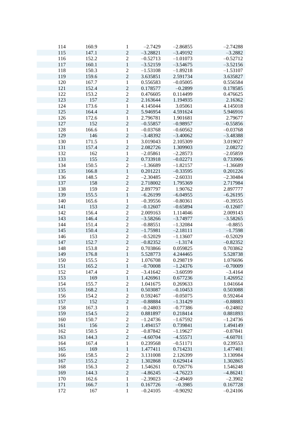| 114 | 160.9 | $\mathbf{1}$   | $-2.7429$  | $-2.86855$ | $-2.74288$ |
|-----|-------|----------------|------------|------------|------------|
| 115 | 147.1 | $\sqrt{2}$     | $-3.28821$ | $-3.49192$ | $-3.2882$  |
| 116 | 152.2 | $\sqrt{2}$     | $-0.52713$ | $-1.01073$ | $-0.52712$ |
|     |       |                |            |            |            |
| 117 | 160.1 | $\,1$          | $-3.52159$ | $-3.54675$ | $-3.52156$ |
| 118 | 150.3 | $\overline{c}$ | $-1.53108$ | $-1.89218$ | $-1.53107$ |
| 119 | 159.6 | $\overline{2}$ | 3.635851   | 2.591734   | 3.635827   |
| 120 | 167.7 | $\mathbf{1}$   | 0.556583   | $-0.05005$ | 0.556584   |
| 121 | 152.4 | $\overline{2}$ | 0.178577   | $-0.2899$  | 0.178585   |
| 122 | 153.2 | $\overline{2}$ | 0.476605   | 0.114499   | 0.476625   |
| 123 | 157   | $\overline{2}$ | 2.163644   | 1.194935   | 2.16362    |
| 124 | 173.6 | $\mathbf{1}$   | 4.145044   | 3.05061    | 4.145018   |
| 125 | 164.4 | $\overline{c}$ | 5.946954   | 4.591624   | 5.946916   |
| 126 | 172.6 | $\mathbf{1}$   | 2.796781   | 1.901681   | 2.79677    |
| 127 | 152   | $\overline{2}$ | $-0.55857$ | $-0.98957$ | $-0.55856$ |
| 128 | 166.6 | $\mathbf{1}$   | $-0.03768$ | $-0.60562$ | $-0.03768$ |
| 129 | 146   | $\overline{c}$ | $-3.48392$ | $-3.40062$ | $-3.48388$ |
| 130 | 171.5 | $\mathbf{1}$   | 3.019043   | 2.105309   | 3.019027   |
| 131 | 157.4 | $\overline{c}$ | 2.082726   | 1.309903   | 2.08272    |
| 132 | 162   | $\mathbf{1}$   | $-2.05861$ | $-2.28573$ | $-2.05859$ |
| 133 | 155   | $\overline{2}$ | 0.733918   | $-0.02271$ | 0.733906   |
| 134 | 150.5 | $\overline{2}$ | $-1.36689$ | $-1.82157$ | $-1.36689$ |
| 135 | 166.8 | $\mathbf{1}$   | 0.201221   | $-0.33595$ | 0.201226   |
| 136 | 148.5 | $\overline{2}$ | $-2.30485$ | $-2.60331$ | $-2.30484$ |
| 137 | 158   | $\overline{c}$ | 2.718002   | 1.795369   | 2.717984   |
| 138 | 159   | $\mathbf{2}$   | 2.897797   | 1.90762    | 2.897777   |
| 139 | 155.5 | $\mathbf{1}$   | $-6.26199$ | $-6.04955$ | $-6.26195$ |
| 140 | 165.6 |                |            | $-0.80361$ |            |
|     |       | $\mathbf{1}$   | $-0.39556$ |            | $-0.39555$ |
| 141 | 153   | $\sqrt{2}$     | $-0.12607$ | $-0.65894$ | $-0.12607$ |
| 142 | 156.4 | $\overline{c}$ | 2.009163   | 1.114046   | 2.009143   |
| 143 | 146.4 | $\overline{c}$ | $-3.58266$ | $-3.74977$ | $-3.58265$ |
| 144 | 151.4 | $\overline{2}$ | $-0.88551$ | $-1.32084$ | $-0.8855$  |
| 145 | 150.4 | $\overline{c}$ | $-1.75981$ | $-2.18111$ | $-1.7598$  |
| 146 | 153   | $\overline{c}$ | $-0.52029$ | $-1.13607$ | $-0.52029$ |
| 147 | 152.7 | $\overline{c}$ | $-0.82352$ | $-1.3174$  | $-0.82352$ |
| 148 | 153.8 | $\overline{2}$ | 0.703866   | 0.059825   | 0.703862   |
| 149 | 176.8 | $\,1\,$        | 5.528773   | 4.244465   | 5.528738   |
| 150 | 155.5 | $\mathbf{2}$   | 1.076708   | 0.298719   | 1.076696   |
| 151 | 165.2 | $\mathbf{1}$   | $-0.70008$ | $-1.24376$ | $-0.70009$ |
| 152 | 147.4 | $\overline{c}$ | $-3.41642$ | $-3.60599$ | $-3.4164$  |
| 153 | 169   | $\mathbf 1$    | 1.426961   | 0.677236   | 1.426952   |
| 154 | 155.7 | $\overline{2}$ | 1.041675   | 0.269633   | 1.041664   |
| 155 | 168.2 | $\mathbf 1$    | 0.503087   | $-0.10453$ | 0.503088   |
| 156 | 154.2 | $\mathbf{2}$   | 0.592467   | $-0.05075$ | 0.592464   |
| 157 | 152   | $\overline{c}$ | $-0.88884$ | $-1.31429$ | $-0.88883$ |
| 158 | 167.3 | $\mathbf 1$    | $-0.24803$ | $-0.77386$ | $-0.24802$ |
| 159 | 154.5 | $\overline{2}$ | 0.881897   | 0.218414   | 0.881893   |
| 160 | 150.7 | $\overline{c}$ | $-1.24736$ | $-1.67592$ | $-1.24736$ |
| 161 | 156   | $\overline{c}$ | 1.494157   | 0.739841   | 1.494149   |
| 162 | 150.5 | $\overline{c}$ | $-0.87842$ | $-1.19627$ | $-0.87841$ |
| 163 | 144.3 | $\sqrt{2}$     | $-4.60704$ | $-4.55571$ | $-4.60701$ |
| 164 | 167.4 | $\mathbf{1}$   | 0.239568   | $-0.51171$ | 0.239553   |
| 165 | 169   | $\,1\,$        | 1.477411   | 0.714231   | 1.477401   |
| 166 | 158.5 | $\overline{c}$ | 3.131008   | 2.126399   | 3.130984   |
| 167 | 155.2 | $\overline{c}$ | 1.302868   | 0.629414   | 1.302865   |
| 168 | 156.3 | $\overline{c}$ | 1.546261   | 0.726776   | 1.546248   |
|     |       | $\sqrt{2}$     |            |            |            |
| 169 | 144.3 |                | $-4.86245$ | $-4.76223$ | $-4.86241$ |
| 170 | 162.6 | $\mathbf 1$    | $-2.39023$ | $-2.49469$ | $-2.3902$  |
| 171 | 166.7 | $\mathbf{1}$   | 0.167726   | $-0.3985$  | 0.167728   |
| 172 | 167   | $\mathbf{1}$   | $-0.24105$ | $-0.90292$ | $-0.24106$ |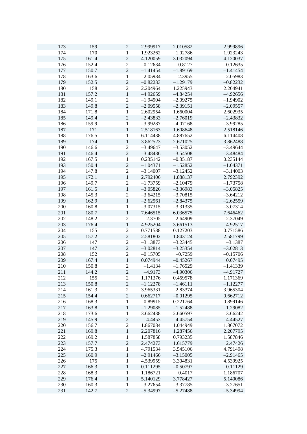| 173 | 159   | $\mathbf{2}$                   | 2.999917   | 2.010582   | 2.999896   |
|-----|-------|--------------------------------|------------|------------|------------|
| 174 | 170   | $\mathbf{1}$                   | 1.923262   | 1.02786    | 1.923243   |
| 175 | 161.4 | $\overline{c}$                 | 4.120059   | 3.032094   | 4.120037   |
|     |       | $\overline{c}$                 |            |            |            |
| 176 | 152.4 |                                | $-0.12634$ | $-0.8127$  | $-0.12635$ |
| 177 | 150.7 | $\overline{c}$                 | $-1.41454$ | $-1.89169$ | $-1.41454$ |
| 178 | 163.6 | $\,1$                          | $-2.05984$ | $-2.3955$  | $-2.05983$ |
| 179 | 152.5 | $\overline{c}$                 | $-0.82233$ | $-1.29179$ | $-0.82232$ |
| 180 | 158   | $\overline{c}$                 | 2.204964   | 1.225943   | 2.204941   |
| 181 | 157.2 | $\mathbf{1}$                   | $-4.92659$ | $-4.84254$ | $-4.92656$ |
| 182 | 149.1 | $\overline{c}$                 | $-1.94904$ | $-2.09275$ | $-1.94902$ |
| 183 | 149.8 | $\overline{2}$                 | $-2.09558$ | $-2.39151$ | $-2.09557$ |
| 184 | 171.8 | $\mathbf{1}$                   | 2.602954   | 1.660004   | 2.602935   |
| 185 | 149.4 | $\overline{2}$                 | $-2.43833$ | $-2.76019$ | $-2.43832$ |
| 186 | 159.9 | 1                              | $-3.99287$ | $-4.07168$ | $-3.99285$ |
| 187 | 171   | $\mathbf{1}$                   | 2.518163   | 1.608648   | 2.518146   |
| 188 | 176.5 | 1                              | 6.114438   | 4.887652   | 6.114408   |
| 189 | 174   | $\mathbf{1}$                   | 3.862523   | 2.671025   | 3.862488   |
| 190 | 146.6 | $\overline{c}$                 | $-3.49647$ | $-3.53052$ | $-3.49644$ |
| 191 | 146.4 | $\overline{c}$                 | $-3.48486$ | $-3.54508$ | $-3.48484$ |
| 192 | 167.5 | $\mathbf{1}$                   | 0.235142   | $-0.35187$ | 0.235144   |
| 193 | 150.4 | $\overline{2}$                 | $-1.04371$ | $-1.52852$ | $-1.04371$ |
| 194 | 147.8 | $\overline{c}$                 | $-3.14007$ | $-3.12452$ | $-3.14003$ |
| 195 | 172.1 | $\mathbf{1}$                   | 2.792406   | 1.888137   | 2.792392   |
| 196 | 149.7 | $\overline{c}$                 | $-1.73759$ | $-2.10479$ | $-1.73758$ |
| 197 | 161.5 | $\mathbf 1$                    | $-3.05826$ | $-3.36983$ | $-3.05825$ |
| 198 | 145.3 | $\overline{c}$                 | $-3.64215$ | $-3.70815$ | $-3.64212$ |
| 199 | 162.9 | $\mathbf{1}$                   | $-2.62561$ | $-2.84375$ | $-2.62559$ |
| 200 | 160.8 | 1                              | $-3.07315$ | $-3.31335$ | $-3.07314$ |
| 201 | 180.7 | $\mathbf{1}$                   | 7.646515   | 6.036575   | 7.646462   |
| 202 | 148.2 | $\overline{c}$                 | $-2.3705$  | $-2.64909$ | $-2.37049$ |
| 203 | 176.4 | $\mathbf 1$                    | 4.925204   | 3.661513   | 4.92517    |
| 204 | 155   | $\overline{c}$                 | 0.771588   | 0.127203   | 0.771586   |
| 205 | 157.2 | $\overline{2}$                 | 2.581802   | 1.843124   | 2.581799   |
| 206 | 147   | $\overline{2}$                 | $-3.13873$ | $-3.23445$ | $-3.1387$  |
| 207 | 147   | $\overline{c}$                 | $-3.02814$ | $-3.25354$ | $-3.02813$ |
| 208 | 152   | $\overline{2}$                 | $-0.15705$ | $-0.7259$  | $-0.15706$ |
| 209 | 167.4 | $\,1$                          | 0.074944   | $-0.45267$ | 0.07495    |
| 210 | 150.8 | $\overline{c}$                 | $-1.4134$  | $-1.76529$ | $-1.41339$ |
| 211 | 144.2 | $\overline{c}$                 | $-4.9173$  | $-4.90306$ | $-4.91727$ |
| 212 | 155   | $\overline{c}$                 | 1.171376   | 0.459578   | 1.171369   |
| 213 | 150.8 | $\overline{c}$                 | $-1.12278$ | $-1.46111$ | $-1.12277$ |
| 214 | 161.3 | $\overline{c}$                 | 3.965331   | 2.83374    | 3.965304   |
| 215 | 154.4 | $\overline{2}$                 | 0.662717   | $-0.01295$ | 0.662712   |
| 216 | 168.3 | $\mathbf{1}$                   | 0.89915    | 0.221764   | 0.899146   |
| 217 | 163.8 | $\mathbf{1}$                   | $-1.29085$ | $-1.52488$ | $-1.29082$ |
| 218 | 173.6 | $\mathbf{1}$                   | 3.662438   | 2.660597   | 3.66242    |
| 219 | 145.9 | $\overline{2}$                 | $-4.4453$  | $-4.45754$ | $-4.44527$ |
|     |       |                                | 1.867084   |            |            |
| 220 | 156.7 | $\overline{c}$<br>$\mathbf{1}$ |            | 1.044949   | 1.867072   |
| 221 | 169.8 |                                | 2.207816   | 1.287456   | 2.207795   |
| 222 | 169.2 | 1                              | 1.587858   | 0.793235   | 1.587846   |
| 223 | 157.7 | $\overline{c}$                 | 2.474273   | 1.615779   | 2.47426    |
| 224 | 175.3 | 1                              | 4.791534   | 3.545106   | 4.791498   |
| 225 | 160.9 | $\,1$                          | $-2.91466$ | $-3.15005$ | $-2.91465$ |
| 226 | 175   | $\,1$                          | 4.539959   | 3.304831   | 4.539925   |
| 227 | 166.3 | $\mathbf{1}$                   | 0.111295   | $-0.50797$ | 0.11129    |
| 228 | 168.3 | $\,1$                          | 1.186721   | 0.4017     | 1.186707   |
| 229 | 176.4 | $\mathbf{1}$                   | 5.140129   | 3.778427   | 5.140086   |
| 230 | 160.3 | $\mathbf{1}$                   | $-3.27654$ | $-3.37785$ | $-3.27651$ |
| 231 | 142.7 | $\overline{c}$                 | $-5.34997$ | $-5.27488$ | $-5.34994$ |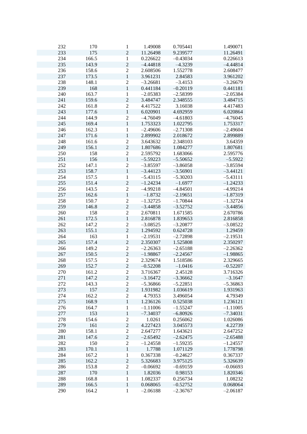| 232 | 170   | $\mathbf{1}$     | 1.49008    | 0.705441   | 1.490071   |
|-----|-------|------------------|------------|------------|------------|
| 233 | 175   | $\overline{2}$   | 11.26498   | 9.239577   | 11.26491   |
|     |       |                  |            |            |            |
| 234 | 166.5 | $\mathbf{1}$     | 0.226622   | $-0.43034$ | 0.226613   |
| 235 | 143.9 | $\overline{c}$   | $-4.44818$ | $-4.3239$  | $-4.44814$ |
| 236 | 158.6 | $\overline{2}$   | 2.608506   | 1.552778   | 2.608477   |
| 237 | 173.5 | $\mathbf 1$      | 3.961231   | 2.84583    | 3.961202   |
| 238 | 148.1 | $\mathbf{2}$     | $-3.26681$ | $-3.4153$  | $-3.26679$ |
| 239 | 168   | $\mathbf{1}$     | 0.441184   | $-0.20119$ | 0.441181   |
| 240 | 163.7 | $\mathbf{1}$     | $-2.05383$ | $-2.58399$ | $-2.05384$ |
| 241 | 159.6 | $\overline{2}$   | 3.484747   | 2.348555   | 3.484715   |
| 242 | 161.8 | $\sqrt{2}$       | 4.417522   | 3.16038    | 4.417483   |
| 243 | 177.6 | $\,1\,$          | 6.020901   | 4.692959   | 6.020864   |
| 244 | 144.9 |                  |            | $-4.61803$ | $-4.76045$ |
|     |       | $\mathbf{2}$     | $-4.76049$ |            |            |
| 245 | 169.4 | $\mathbf{1}$     | 1.753323   | 1.022795   | 1.753317   |
| 246 | 162.3 | $\mathbf{1}$     | $-2.49606$ | $-2.71308$ | $-2.49604$ |
| 247 | 171.6 | $\,1$            | 2.899902   | 2.018672   | 2.899889   |
| 248 | 161.6 | $\sqrt{2}$       | 3.643632   | 2.348103   | 3.64359    |
| 249 | 156.1 | $\overline{c}$   | 1.807686   | 1.084277   | 1.807681   |
| 250 | 158   | $\sqrt{2}$       | 2.595792   | 1.683066   | 2.595776   |
| 251 | 156   | $\mathbf{1}$     | $-5.59223$ | $-5.50652$ | $-5.5922$  |
| 252 | 147.1 | $\overline{2}$   | $-3.85597$ | $-3.86058$ | $-3.85594$ |
| 253 | 158.7 | $\mathbf{1}$     | $-3.44123$ | $-3.56901$ | $-3.44121$ |
| 254 | 157.5 | $\mathbf{1}$     | $-5.43115$ | $-5.30203$ | $-5.43111$ |
| 255 | 151.4 | $\sqrt{2}$       | $-1.24234$ | $-1.6977$  | $-1.24233$ |
| 256 | 143.5 |                  |            |            | $-4.99214$ |
|     |       | $\mathbf{2}$     | $-4.99218$ | $-4.84501$ |            |
| 257 | 162.6 | $\mathbf{1}$     | $-1.8732$  | $-2.19651$ | $-1.87319$ |
| 258 | 150.7 | $\frac{2}{2}$    | $-1.32725$ | $-1.70844$ | $-1.32724$ |
| 259 | 146.8 |                  | $-3.44858$ | $-3.52752$ | $-3.44856$ |
| 260 | 158   | $\overline{2}$   | 2.670811   | 1.671585   | 2.670786   |
| 261 | 172.5 | $\mathbf 1$      | 2.816878   | 1.839653   | 2.816858   |
| 262 | 147.2 | $\mathbf{2}$     | $-3.08525$ | $-3.20877$ | $-3.08522$ |
| 263 | 155.1 | $\overline{2}$   | 1.294592   | 0.624728   | 1.29459    |
| 264 | 163   | $\,1$            | $-2.19531$ | $-2.72898$ | $-2.19531$ |
| 265 | 157.4 | $\overline{2}$   | 2.350307   | 1.525808   | 2.350297   |
| 266 | 149.2 | $\sqrt{2}$       | $-2.26363$ | $-2.65188$ | $-2.26362$ |
| 267 | 150.5 | $\overline{2}$   | $-1.98867$ | $-2.24567$ | $-1.98865$ |
| 268 | 157.5 | $\mathbf{2}$     | 2.329674   | 1.518586   | 2.329665   |
| 269 | 152.7 | $\overline{2}$   | $-0.52208$ | $-1.0416$  | $-0.52207$ |
| 270 |       | $\overline{c}$   |            | 2.45128    | 3.716326   |
|     | 161.2 |                  | 3.716367   |            |            |
| 271 | 147.2 | $\mathbf{2}$     | $-3.16472$ | $-3.36662$ | $-3.1647$  |
| 272 | 143.3 | $\mathbf{2}$     | $-5.36866$ | $-5.22851$ | $-5.36863$ |
| 273 | 157   | $\overline{c}$   | 1.931982   | 1.036619   | 1.931963   |
| 274 | 162.2 | $\overline{2}$   | 4.79353    | 3.496054   | 4.79349    |
| 275 | 168.9 | $\mathbf{1}$     | 1.236126   | 0.525038   | 1.236121   |
| 276 | 164.7 | $\mathbf{1}$     | $-1.11006$ | $-1.55247$ | $-1.11005$ |
| 277 | 153   | $\mathbf 1$      | $-7.34037$ | $-6.80926$ | $-7.34031$ |
| 278 | 154.6 | $\mathbf{2}$     | 1.0261     | 0.256062   | 1.026086   |
| 279 | 161   | $\sqrt{2}$       | 4.227423   | 3.045573   | 4.22739    |
| 280 | 158.1 | $\boldsymbol{2}$ | 2.647277   | 1.643621   | 2.647252   |
| 281 | 147.6 | $\sqrt{2}$       | $-2.65492$ | $-2.62475$ | $-2.65488$ |
| 282 | 150   | $\mathbf{2}$     | $-1.24558$ | $-1.59235$ | $-1.24557$ |
|     |       | $\,1\,$          |            |            |            |
| 283 | 170.1 |                  | 1.7788     | 1.071129   | 1.778798   |
| 284 | 167.2 | $\,1\,$          | 0.367338   | $-0.24627$ | 0.367337   |
| 285 | 162.2 | $\overline{c}$   | 5.326683   | 3.975125   | 5.326639   |
| 286 | 153.8 | $\sqrt{2}$       | $-0.06692$ | $-0.69159$ | $-0.06693$ |
| 287 | 170   | $\mathbf{1}$     | 1.82036    | 0.98153    | 1.820346   |
| 288 | 168.8 | $\,1\,$          | 1.082337   | 0.256734   | 1.08232    |
| 289 | 166.5 | $\mathbf{1}$     | 0.068065   | $-0.52752$ | 0.068064   |
| 290 | 164.2 | $\,1$            | $-2.06188$ | $-2.36767$ | $-2.06187$ |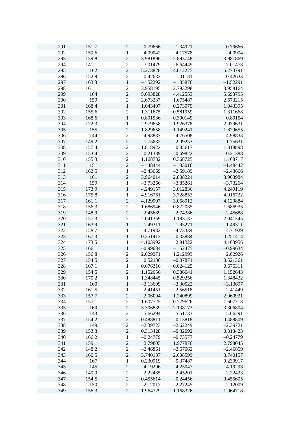| 291 | 151.7 | $\mathbf{2}$     | $-0.79666$ | $-1.34921$ | $-0.79666$ |
|-----|-------|------------------|------------|------------|------------|
| 292 | 159.6 | $\mathbf{1}$     | $-4.09042$ | $-4.17578$ | $-4.0904$  |
| 293 | 159.8 | $\mathbf 2$      | 3.981896   | 2.893748   | 3.981869   |
| 294 | 141.1 | $\sqrt{2}$       | $-7.01479$ | $-6.64449$ | $-7.01473$ |
| 295 | 162   | $\overline{c}$   | 5.273828   | 4.012275   | 5.273791   |
|     |       | $\overline{2}$   |            |            |            |
| 296 | 152.9 |                  | $-0.42632$ | $-1.01131$ | $-0.42633$ |
| 297 | 163.3 | $\mathbf{1}$     | $-1.52292$ | $-1.85876$ | $-1.52291$ |
| 298 | 161.1 | $\overline{c}$   | 3.958195   | 2.793298   | 3.958164   |
| 299 | 164   | $\overline{2}$   | 5.693828   | 4.412553   | 5.693795   |
| 300 | 159   | $\overline{2}$   | 2.673237   | 1.675487   | 2.673215   |
| 301 | 168.4 | $\mathbf{1}$     | 1.043407   | 0.273079   | 1.043395   |
| 302 | 155.6 | $\sqrt{2}$       | 1.311675   | 0.581959   | 1.311668   |
| 303 | 168.6 | $\,1$            | 0.891536   | 0.300149   | 0.89154    |
|     |       |                  |            |            |            |
| 304 | 172.3 | 1                | 2.979658   | 1.926378   | 2.979631   |
| 305 | 155   | $\sqrt{2}$       | 1.829658   | 1.149241   | 1.829655   |
| 306 | 144   | $\sqrt{2}$       | $-4.98837$ | $-4.76508$ | $-4.98833$ |
| 307 | 149.2 | $\overline{c}$   | $-1.75632$ | $-2.09253$ | $-1.75631$ |
| 308 | 157.4 | $\sqrt{2}$       | 1.818922   | 0.85617    | 1.818898   |
| 309 | 153.4 | $\overline{2}$   | $-0.21389$ | $-0.69822$ | $-0.21388$ |
| 310 | 155.3 | $\overline{c}$   | 1.168732   | 0.368725   | 1.168717   |
| 311 | 151   | $\sqrt{2}$       | $-1.48444$ | $-1.83016$ | $-1.48442$ |
|     |       |                  |            |            |            |
| 312 | 162.5 | $\mathbf{1}$     | $-2.43669$ | $-2.59189$ | $-2.43666$ |
| 313 | 161   | $\overline{2}$   | 3.964014   | 2.808224   | 3.963984   |
| 314 | 159   | $\mathbf{1}$     | $-3.73266$ | $-3.85261$ | $-3.73264$ |
| 315 | 173.9 | $\mathbf{1}$     | 4.249157   | 3.012836   | 4.249119   |
| 316 | 175.8 | 1                | 4.916761   | 3.728853   | 4.916732   |
| 317 | 161.1 | $\mathbf 2$      | 4.129907   | 3.058912   | 4.129884   |
| 318 | 156.3 | $\mathbf{2}$     | 1.686946   | 0.872035   | 1.686933   |
| 319 | 148.9 | $\overline{c}$   | $-2.45689$ | $-2.74386$ | $-2.45688$ |
|     |       |                  |            |            |            |
| 320 | 157.3 | $\sqrt{2}$       | 2.041359   | 1.183737   | 2.041345   |
| 321 | 163.9 | $\mathbf{1}$     | $-1.49311$ | $-1.95271$ | $-1.49311$ |
| 322 | 158.7 | $\mathbf 1$      | $-4.71932$ | $-4.73334$ | $-4.71929$ |
| 323 | 167.3 | $\mathbf{1}$     | 0.251413   | $-0.33884$ | 0.251414   |
| 324 | 173.5 | $\mathbf{1}$     | 4.103992   | 2.91322    | 4.103956   |
| 325 | 166.1 | $\mathbf{1}$     | $-0.99634$ | $-1.52475$ | $-0.99634$ |
| 326 | 156.8 | $\sqrt{2}$       | 2.029271   | 1.212993   | 2.02926    |
| 327 | 154.5 | $\sqrt{2}$       | 0.52136    | $-0.07871$ | 0.521361   |
|     | 167.1 |                  | 0.676316   |            | 0.676311   |
| 328 |       | $\mathbf{1}$     |            | 0.024125   |            |
| 329 | 154.5 | $\overline{c}$   | 1.152656   | 0.386641   | 1.152643   |
| 330 | 170.2 | 1                | 1.348445   | 0.529256   | 1.348432   |
| 331 | 160   | $\,1\,$          | $-3.13699$ | $-3.30522$ | $-3.13697$ |
| 332 | 161.5 | $\mathbf{1}$     | $-2.41451$ | $-2.56518$ | $-2.41449$ |
| 333 | 157.7 | $\sqrt{2}$       | 2.06094    | 1.240899   | 2.060931   |
| 334 | 157.1 | $\sqrt{2}$       | 1.607725   | 0.779626   | 1.607713   |
| 335 | 160   | $\sqrt{2}$       | 3.306839   | 2.138173   | 3.306804   |
| 336 | 143   | $\overline{c}$   | $-5.66294$ | $-5.51733$ | $-5.66291$ |
|     |       | $\overline{c}$   | 0.488811   |            |            |
| 337 | 154.2 |                  |            | $-0.13818$ | 0.488809   |
| 338 | 149   | $\overline{c}$   | $-2.39723$ | $-2.62249$ | $-2.39721$ |
| 339 | 153.3 | $\overline{c}$   | 0.313428   | $-0.32092$ | 0.313423   |
| 340 | 166.2 | 1                | $-0.24779$ | $-0.73577$ | $-0.24779$ |
| 341 | 159.1 | $\sqrt{2}$       | 2.79805    | 1.977876   | 2.798045   |
| 342 | 148.2 | $\boldsymbol{2}$ | $-2.46861$ | $-2.67062$ | $-2.46859$ |
| 343 | 160.5 | $\overline{c}$   | 3.740187   | 2.608599   | 3.740157   |
| 344 | 167   | $\,1$            | 0.230919   | $-0.37487$ | 0.230917   |
| 345 | 145   | $\sqrt{2}$       | $-4.19296$ | $-4.25047$ | $-4.19293$ |
|     |       |                  |            |            |            |
| 346 | 149.9 | $\sqrt{2}$       | $-2.22435$ | $-2.45201$ | $-2.22433$ |
| 347 | 154.5 | $\sqrt{2}$       | 0.455614   | $-0.24456$ | 0.455605   |
| 348 | 150   | $\overline{2}$   | $-2.12012$ | $-2.27245$ | $-2.12009$ |
| 349 | 156.3 | $\overline{2}$   | 1.964729   | 1.168326   | 1.964718   |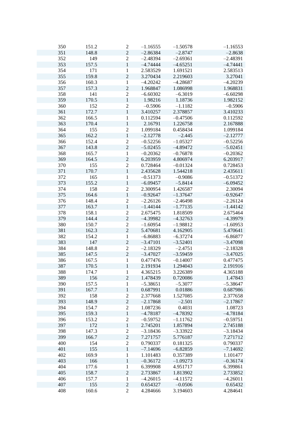| 350 | 151.2 | $\overline{c}$   | $-1.16555$ | $-1.50578$ | $-1.16553$ |
|-----|-------|------------------|------------|------------|------------|
|     |       |                  |            |            |            |
| 351 | 148.8 | $\sqrt{2}$       | $-2.86384$ | $-2.8747$  | $-2.8638$  |
| 352 | 149   | $\sqrt{2}$       | $-2.48394$ | $-2.69361$ | $-2.48391$ |
| 353 | 157.5 | $\,1\,$          | $-4.74444$ | $-4.65251$ | $-4.74441$ |
| 354 | 171   | $\,1\,$          | 2.583529   | 1.691521   | 2.583513   |
| 355 | 159.8 | $\overline{2}$   | 3.270434   | 2.219603   | 3.27041    |
| 356 | 160.3 | $\,1\,$          | $-4.20242$ | $-4.28687$ | $-4.20239$ |
| 357 | 157.3 | $\overline{c}$   | 1.968847   | 1.086998   | 1.968831   |
| 358 | 141   | $\overline{2}$   | $-6.60302$ | $-6.3019$  | $-6.60298$ |
|     |       |                  |            |            |            |
| 359 | 170.5 | $\,1$            | 1.98216    | 1.18736    | 1.982152   |
| 360 | 152   | $\sqrt{2}$       | $-0.5906$  | $-1.1182$  | $-0.5906$  |
| 361 | 172.7 | $\mathbf 1$      | 3.410257   | 2.378857   | 3.410233   |
| 362 | 166.5 | $\mathbf{1}$     | 0.112594   | $-0.47506$ | 0.112592   |
| 363 | 170.4 | $\mathbf 1$      | 2.16791    | 1.226758   | 2.167888   |
| 364 | 155   | $\overline{2}$   | 1.099184   | 0.458434   | 1.099184   |
| 365 | 162.2 | $\,1\,$          | $-2.12778$ | $-2.445$   | $-2.12777$ |
| 366 | 152.4 | $\overline{c}$   | $-0.52256$ | $-1.05327$ | $-0.52256$ |
|     |       | $\overline{2}$   |            |            |            |
| 367 | 143.8 |                  | $-5.02455$ | $-4.89472$ | $-5.02451$ |
| 368 | 165.7 | $\mathbf{1}$     | $-0.20362$ | $-0.76878$ | $-0.20362$ |
| 369 | 164.5 | $\overline{2}$   | 6.203959   | 4.806974   | 6.203917   |
| 370 | 155   | $\overline{2}$   | 0.728464   | $-0.01324$ | 0.728453   |
| 371 | 170.7 | $\mathbf{1}$     | 2.435628   | 1.544218   | 2.435611   |
| 372 | 165   | $\,1\,$          | $-0.51373$ | $-0.9086$  | $-0.51372$ |
| 373 | 155.2 | $\,1\,$          | $-6.09457$ | $-5.8414$  | $-6.09452$ |
| 374 | 158   | $\boldsymbol{2}$ | 2.300954   | 1.426587   | 2.30094    |
| 375 | 164.6 | $\mathbf 1$      | $-0.92647$ | $-1.37647$ | $-0.92647$ |
|     |       |                  |            |            |            |
| 376 | 148.4 | $\sqrt{2}$       | $-2.26126$ | $-2.46498$ | $-2.26124$ |
| 377 | 163.7 | $\,1$            | $-1.44144$ | $-1.77135$ | $-1.44142$ |
| 378 | 158.1 | $\overline{c}$   | 2.675475   | 1.818509   | 2.675464   |
| 379 | 144.4 | $\overline{c}$   | $-4.39982$ | $-4.32763$ | $-4.39979$ |
| 380 | 150.7 | $\overline{2}$   | $-1.60954$ | $-1.98812$ | $-1.60953$ |
| 381 | 162.3 | $\overline{2}$   | 5.470681   | 4.162905   | 5.470641   |
| 382 | 154.2 | $\,1$            | $-6.86883$ | $-6.37274$ | $-6.86877$ |
| 383 | 147   | $\overline{2}$   | $-3.47101$ | $-3.52401$ | $-3.47098$ |
| 384 | 148.8 | $\overline{c}$   | $-2.18329$ | $-2.4751$  | $-2.18328$ |
|     |       |                  |            |            |            |
| 385 | 147.5 | $\overline{2}$   | $-3.47027$ | $-3.59459$ | $-3.47025$ |
| 386 | 167.5 | $\mathbf{1}$     | 0.477476   | $-0.14007$ | 0.477475   |
| 387 | 170.5 | $\mathbf{1}$     | 2.191934   | 1.294043   | 2.191916   |
| 388 | 174.7 | $\mathbf{1}$     | 4.365215   | 3.226389   | 4.365188   |
| 389 | 156   | $\mathbf 2$      | 1.478439   | 0.720086   | 1.47843    |
| 390 | 157.5 | 1                | $-5.38651$ | $-5.3077$  | $-5.38647$ |
| 391 | 167.7 | $\,1\,$          | 0.687991   | 0.01886    | 0.687986   |
| 392 | 158   | $\mathbf{2}$     | 2.377668   | 1.527085   | 2.377658   |
| 393 | 148.9 | $\overline{c}$   | $-2.17868$ | $-2.501$   | $-2.17867$ |
|     |       |                  |            |            |            |
| 394 | 154.7 | $\overline{2}$   | 1.087236   | 0.4031     | 1.08723    |
| 395 | 159.3 | $\mathbf{1}$     | $-4.78187$ | $-4.78392$ | $-4.78184$ |
| 396 | 153.2 | $\overline{c}$   | $-0.59752$ | $-1.11762$ | $-0.59751$ |
| 397 | 172   | $\,1\,$          | 2.745201   | 1.857894   | 2.745188   |
| 398 | 147.3 | $\mathbf{2}$     | $-3.18436$ | $-3.33922$ | $-3.18434$ |
| 399 | 166.7 | $\sqrt{2}$       | 7.271757   | 5.776187   | 7.271712   |
| 400 | 154   | $\overline{2}$   | 0.790337   | 0.181325   | 0.790337   |
| 401 | 155   | $\mathbf{1}$     | $-7.14696$ | $-6.82859$ | $-7.14692$ |
| 402 | 169.9 | $\mathbf{1}$     | 1.101483   | 0.357389   | 1.101477   |
|     |       |                  |            |            |            |
| 403 | 166   | $\mathbf{1}$     | $-0.36172$ | $-1.09273$ | $-0.36174$ |
| 404 | 177.6 | $\,1\,$          | 6.399908   | 4.951717   | 6.399861   |
| 405 | 158.7 | $\sqrt{2}$       | 2.733867   | 1.813902   | 2.733852   |
| 406 | 157.7 | $\mathbf 1$      | $-4.26015$ | $-4.11572$ | $-4.26011$ |
| 407 | 155   | $\overline{c}$   | 0.654327   | $-0.0506$  | 0.65432    |
| 408 | 160.6 | $\overline{2}$   | 4.284666   | 3.194603   | 4.284641   |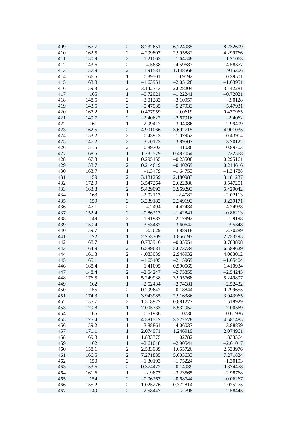| 409 | 167.7 | $\boldsymbol{2}$ | 8.232651   | 6.724935   | 8.232609   |
|-----|-------|------------------|------------|------------|------------|
| 410 | 162.5 | $\boldsymbol{2}$ | 4.299807   | 2.995882   | 4.299766   |
| 411 | 150.9 | $\overline{c}$   | $-1.21063$ | $-1.64748$ | $-1.21063$ |
| 412 | 143.6 | $\sqrt{2}$       | $-4.5838$  | $-4.59687$ | $-4.58377$ |
| 413 | 157.9 | $\overline{c}$   | 1.91531    | 1.148568   | 1.915306   |
| 414 | 166.5 | $\,1$            | $-0.39501$ | $-0.9192$  | $-0.39501$ |
| 415 | 163.8 | $\,1\,$          | $-1.63951$ | $-2.05128$ | $-1.63951$ |
| 416 | 159.3 | $\overline{c}$   | 3.142313   | 2.028204   | 3.142281   |
| 417 | 165   | $\mathbf{1}$     | $-0.72021$ | $-1.22241$ | $-0.72021$ |
| 418 | 148.5 | $\overline{2}$   | $-3.01283$ | $-3.10957$ | $-3.0128$  |
| 419 | 143.5 | $\overline{2}$   | $-5.47935$ | $-5.27933$ | $-5.47931$ |
| 420 | 167.2 | $\,1$            | 0.477959   | $-0.0619$  | 0.477965   |
| 421 | 149.7 | $\overline{2}$   | $-2.40622$ | $-2.67916$ |            |
|     |       |                  |            |            | $-2.4062$  |
| 422 | 161   | 1                | $-2.99412$ | $-3.04986$ | $-2.99409$ |
| 423 | 162.5 | $\overline{c}$   | 4.901066   | 3.692715   | 4.901035   |
| 424 | 153.2 | $\sqrt{2}$       | $-0.43913$ | $-1.07952$ | $-0.43914$ |
| 425 | 147.2 | $\overline{c}$   | $-3.70123$ | $-3.89507$ | $-3.70122$ |
| 426 | 151.5 | $\sqrt{2}$       | $-0.89703$ | $-1.41036$ | $-0.89703$ |
| 427 | 168.5 | $\mathbf{1}$     | 1.232579   | 0.482054   | 1.232568   |
| 428 | 167.3 | $\mathbf{1}$     | 0.295155   | $-0.23508$ | 0.295161   |
| 429 | 153.7 | $\overline{2}$   | 0.214619   | $-0.40269$ | 0.214616   |
| 430 | 163.7 | $\mathbf{1}$     | $-1.3479$  | $-1.64753$ | $-1.34788$ |
| 431 | 159   | $\overline{2}$   | 3.181259   | 2.180983   | 3.181237   |
| 432 | 172.9 | $\,1$            | 3.547264   | 2.622886   | 3.547251   |
| 433 | 163.8 | $\overline{2}$   | 5.429093   | 3.969293   | 5.429042   |
| 434 | 163   | 1                | $-2.02113$ | $-2.4082$  | $-2.02113$ |
| 435 | 159   | $\mathbf 2$      | 3.239182   | 2.349193   | 3.239171   |
| 436 | 147.1 | $\sqrt{2}$       | $-4.2494$  | $-4.47434$ | $-4.24938$ |
| 437 | 152.4 | $\overline{c}$   | $-0.86213$ | $-1.42841$ | $-0.86213$ |
| 438 | 149   | $\sqrt{2}$       | $-1.91982$ | $-2.17992$ | $-1.9198$  |
| 439 | 159.4 | $\mathbf{1}$     | $-3.53482$ | $-3.60642$ | $-3.5348$  |
|     |       |                  |            |            |            |
| 440 | 159.7 | $\,1$            | $-3.7029$  | $-3.88918$ | $-3.70289$ |
| 441 | 172   | $\mathbf{1}$     | 2.753309   | 1.856193   | 2.753295   |
| 442 | 168.7 | $\mathbf 1$      | 0.783916   | $-0.05554$ | 0.783898   |
| 443 | 164.9 | $\overline{2}$   | 6.589681   | 5.073734   | 6.589629   |
| 444 | 161.3 | $\sqrt{2}$       | 4.083039   | 2.948932   | 4.083012   |
| 445 | 165.1 | $\,1$            | $-1.65405$ | $-2.15969$ | $-1.65404$ |
| 446 | 168.4 | $\mathbf{1}$     | 1.41095    | 0.590569   | 1.410934   |
| 447 | 148.4 | $\overline{c}$   | $-2.54247$ | $-2.75855$ | $-2.54245$ |
| 448 | 176.5 | 1                | 5.249938   | 3.905768   | 5.249897   |
| 449 | 162   | $\,1$            | $-2.52434$ | $-2.74681$ | $-2.52432$ |
| 450 | 155   | $\sqrt{2}$       | 0.299642   | $-0.18844$ | 0.299655   |
| 451 | 174.3 | $\mathbf 1$      | 3.943985   | 2.916386   | 3.943965   |
| 452 | 155.7 | $\sqrt{2}$       | 1.518927   | 0.881277   | 1.518929   |
| 453 | 179.8 | $\mathbf{1}$     | 7.005733   | 5.532952   | 7.00569    |
| 454 | 165   | $\mathbf{1}$     | $-0.61936$ | $-1.10736$ | $-0.61936$ |
| 455 | 175.4 | $\mathbf{1}$     | 4.581517   | 3.372678   | 4.581485   |
| 456 | 159.2 | 1                | $-3.88861$ | $-4.06037$ | $-3.88859$ |
| 457 | 171.1 | $\,1\,$          | 2.074971   | 1.246919   | 2.074961   |
| 458 | 169.8 | $\mathbf 1$      | 1.833375   | 1.02782    | 1.833364   |
| 459 | 162   | $\mathbf{1}$     | $-2.61018$ | $-2.90544$ | $-2.61017$ |
| 460 | 158.1 |                  | 2.533989   |            | 2.533976   |
|     |       | $\boldsymbol{2}$ |            | 1.655726   |            |
| 461 | 166.5 | $\overline{c}$   | 7.271885   | 5.603633   | 7.271824   |
| 462 | 150   | $\overline{c}$   | $-1.30193$ | $-1.75224$ | $-1.30193$ |
| 463 | 153.6 | $\sqrt{2}$       | 0.374472   | $-0.14939$ | 0.374478   |
| 464 | 161.6 | $\mathbf{1}$     | $-2.9877$  | $-3.23565$ | $-2.98768$ |
| 465 | 154   | $\mathbf 2$      | $-0.06267$ | $-0.68744$ | $-0.06267$ |
| 466 | 155.2 | $\overline{2}$   | 1.025276   | 0.372814   | 1.025275   |
| 467 | 149   | $\sqrt{2}$       | $-2.58447$ | $-2.798$   | $-2.58445$ |